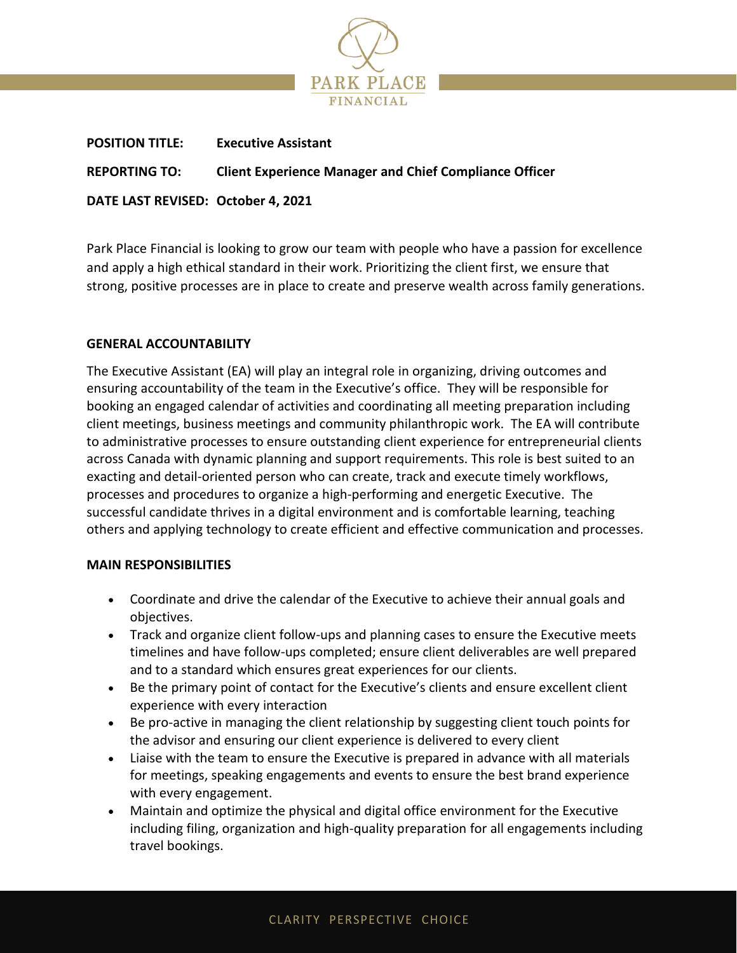

| <b>POSITION TITLE:</b>             | <b>Executive Assistant</b>                                    |
|------------------------------------|---------------------------------------------------------------|
| <b>REPORTING TO:</b>               | <b>Client Experience Manager and Chief Compliance Officer</b> |
| DATE LAST REVISED: October 4, 2021 |                                                               |

Park Place Financial is looking to grow our team with people who have a passion for excellence and apply a high ethical standard in their work. Prioritizing the client first, we ensure that strong, positive processes are in place to create and preserve wealth across family generations.

## **GENERAL ACCOUNTABILITY**

The Executive Assistant (EA) will play an integral role in organizing, driving outcomes and ensuring accountability of the team in the Executive's office. They will be responsible for booking an engaged calendar of activities and coordinating all meeting preparation including client meetings, business meetings and community philanthropic work. The EA will contribute to administrative processes to ensure outstanding client experience for entrepreneurial clients across Canada with dynamic planning and support requirements. This role is best suited to an exacting and detail-oriented person who can create, track and execute timely workflows, processes and procedures to organize a high-performing and energetic Executive. The successful candidate thrives in a digital environment and is comfortable learning, teaching others and applying technology to create efficient and effective communication and processes.

### **MAIN RESPONSIBILITIES**

- Coordinate and drive the calendar of the Executive to achieve their annual goals and objectives.
- Track and organize client follow-ups and planning cases to ensure the Executive meets timelines and have follow-ups completed; ensure client deliverables are well prepared and to a standard which ensures great experiences for our clients.
- Be the primary point of contact for the Executive's clients and ensure excellent client experience with every interaction
- Be pro-active in managing the client relationship by suggesting client touch points for the advisor and ensuring our client experience is delivered to every client
- Liaise with the team to ensure the Executive is prepared in advance with all materials for meetings, speaking engagements and events to ensure the best brand experience with every engagement.
- Maintain and optimize the physical and digital office environment for the Executive including filing, organization and high-quality preparation for all engagements including travel bookings.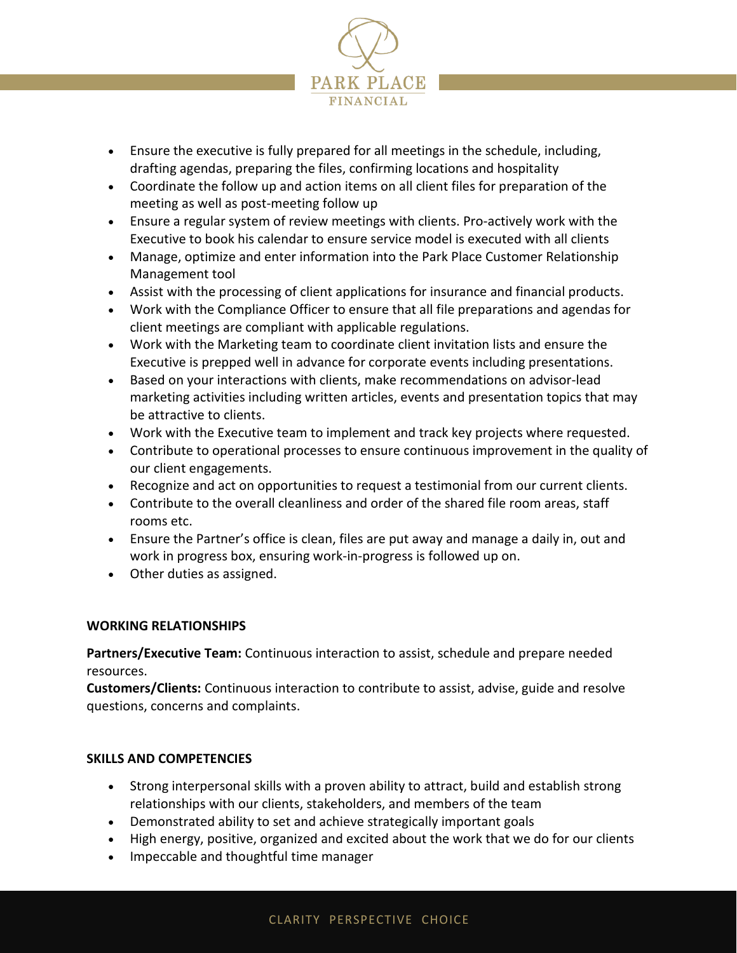

- Ensure the executive is fully prepared for all meetings in the schedule, including, drafting agendas, preparing the files, confirming locations and hospitality
- Coordinate the follow up and action items on all client files for preparation of the meeting as well as post-meeting follow up
- Ensure a regular system of review meetings with clients. Pro-actively work with the Executive to book his calendar to ensure service model is executed with all clients
- Manage, optimize and enter information into the Park Place Customer Relationship Management tool
- Assist with the processing of client applications for insurance and financial products.
- Work with the Compliance Officer to ensure that all file preparations and agendas for client meetings are compliant with applicable regulations.
- Work with the Marketing team to coordinate client invitation lists and ensure the Executive is prepped well in advance for corporate events including presentations.
- Based on your interactions with clients, make recommendations on advisor-lead marketing activities including written articles, events and presentation topics that may be attractive to clients.
- Work with the Executive team to implement and track key projects where requested.
- Contribute to operational processes to ensure continuous improvement in the quality of our client engagements.
- Recognize and act on opportunities to request a testimonial from our current clients.
- Contribute to the overall cleanliness and order of the shared file room areas, staff rooms etc.
- Ensure the Partner's office is clean, files are put away and manage a daily in, out and work in progress box, ensuring work-in-progress is followed up on.
- Other duties as assigned.

# **WORKING RELATIONSHIPS**

**Partners/Executive Team:** Continuous interaction to assist, schedule and prepare needed resources.

**Customers/Clients:** Continuous interaction to contribute to assist, advise, guide and resolve questions, concerns and complaints.

### **SKILLS AND COMPETENCIES**

- Strong interpersonal skills with a proven ability to attract, build and establish strong relationships with our clients, stakeholders, and members of the team
- Demonstrated ability to set and achieve strategically important goals
- High energy, positive, organized and excited about the work that we do for our clients
- Impeccable and thoughtful time manager